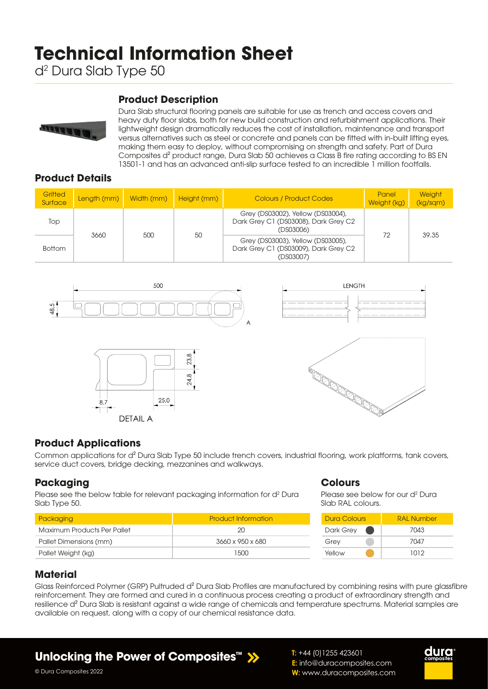# **Technical Information Sheet**

d2 Dura Slab Type 50

### **Product Description**



Dura Slab structural flooring panels are suitable for use as trench and access covers and heavy duty floor slabs, both for new build construction and refurbishment applications. Their lightweight design dramatically reduces the cost of installation, maintenance and transport versus alternatives such as steel or concrete and panels can be fitted with in-built lifting eyes, making them easy to deploy, without compromising on strength and safety. Part of Dura Composites d² product range, Dura Slab 50 achieves a Class B fire rating according to BS EN 13501-1 and has an advanced anti-slip surface tested to an incredible 1 million footfalls.

### **Product Details**

| Gritted<br>Surface | Length (mm) Width (mm) |     | Height (mm) | <b>Colours / Product Codes</b>                                                         | Panel<br>Weight (kg) | <b>Weight</b><br>(kg/sqm) |
|--------------------|------------------------|-----|-------------|----------------------------------------------------------------------------------------|----------------------|---------------------------|
| Top                | 3660                   | 500 | 50          | Grey (DS03002), Yellow (DS03004),<br>Dark Grey C1 (DS03008), Dark Grey C2<br>(DS03006) |                      | 39.35                     |
| <b>Bottom</b>      |                        |     |             | Grey (DS03003), Yellow (DS03005),<br>Dark Grey C1 (DS03009), Dark Grey C2<br>(DS03007) | 72                   |                           |









### **Product Applications**

Common applications for d² Dura Slab Type 50 include trench covers, industrial flooring, work platforms, tank covers, service duct covers, bridge decking, mezzanines and walkways.

# **Packaging**

Please see the below table for relevant packaging information for d<sup>2</sup> Dura Slab Type 50.

| Packaging                   | <b>Product Information</b> |
|-----------------------------|----------------------------|
| Maximum Products Per Pallet | 20                         |
| Pallet Dimensions (mm)      | 3660 x 950 x 680           |
| Pallet Weight (kg)          | 1.500                      |

#### **Colours**

**T:** +44 (0)1255 423601

**E:** info@duracomposites.com **W:** www.duracomposites.com

Please see below for our d<sup>2</sup> Dura Slab RAL colours.

| Dura Colours | <b>RAI Number</b> |  |  |
|--------------|-------------------|--|--|
| Dark Grey    | 7043              |  |  |
| Grey         | 7047              |  |  |
| Yellow       | 1012              |  |  |

### **Material**

Glass Reinforced Polymer (GRP) Pultruded d<sup>2</sup> Dura Slab Profiles are manufactured by combining resins with pure glassfibre reinforcement. They are formed and cured in a continuous process creating a product of extraordinary strength and resilience d² Dura Slab is resistant against a wide range of chemicals and temperature spectrums. Material samples are available on request, along with a copy of our chemical resistance data.

# **Unlocking the Power of Composites™**



© Dura Composites 2022